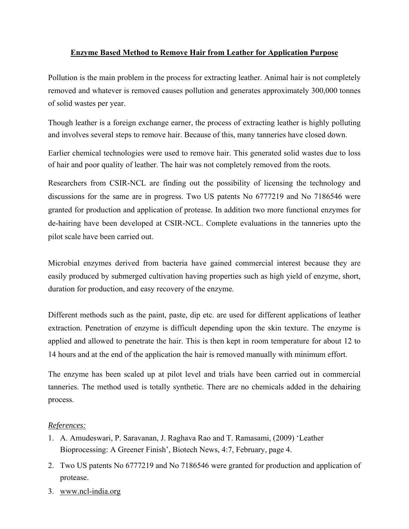## **Enzyme Based Method to Remove Hair from Leather for Application Purpose**

Pollution is the main problem in the process for extracting leather. Animal hair is not completely removed and whatever is removed causes pollution and generates approximately 300,000 tonnes of solid wastes per year.

Though leather is a foreign exchange earner, the process of extracting leather is highly polluting and involves several steps to remove hair. Because of this, many tanneries have closed down.

Earlier chemical technologies were used to remove hair. This generated solid wastes due to loss of hair and poor quality of leather. The hair was not completely removed from the roots.

Researchers from CSIR-NCL are finding out the possibility of licensing the technology and discussions for the same are in progress. Two US patents No 6777219 and No 7186546 were granted for production and application of protease. In addition two more functional enzymes for de-hairing have been developed at CSIR-NCL. Complete evaluations in the tanneries upto the pilot scale have been carried out.

Microbial enzymes derived from bacteria have gained commercial interest because they are easily produced by submerged cultivation having properties such as high yield of enzyme, short, duration for production, and easy recovery of the enzyme.

Different methods such as the paint, paste, dip etc. are used for different applications of leather extraction. Penetration of enzyme is difficult depending upon the skin texture. The enzyme is applied and allowed to penetrate the hair. This is then kept in room temperature for about 12 to 14 hours and at the end of the application the hair is removed manually with minimum effort.

The enzyme has been scaled up at pilot level and trials have been carried out in commercial tanneries. The method used is totally synthetic. There are no chemicals added in the dehairing process.

## *References:*

- 1. A. Amudeswari, P. Saravanan, J. Raghava Rao and T. Ramasami, (2009) 'Leather Bioprocessing: A Greener Finish', Biotech News, 4:7, February, page 4.
- 2. Two US patents No 6777219 and No 7186546 were granted for production and application of protease.
- 3. www.ncl-india.org